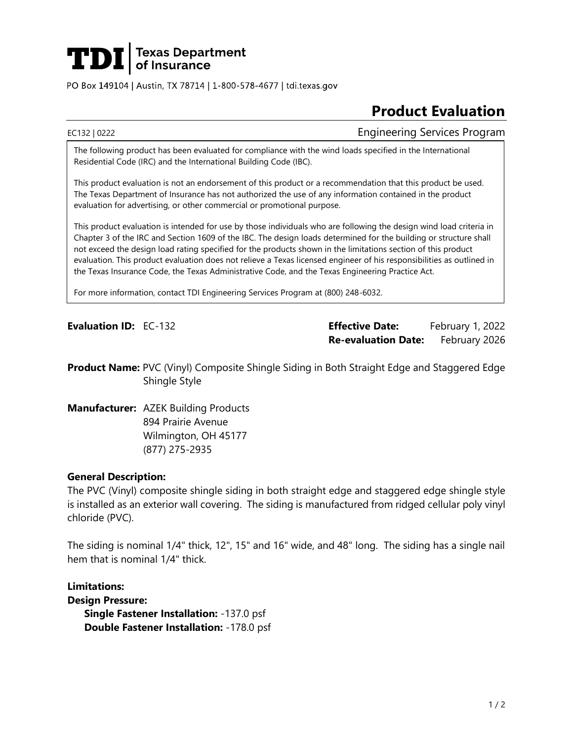

PO Box 149104 | Austin, TX 78714 | 1-800-578-4677 | tdi.texas.gov

# **Product Evaluation**

EC132 | 0222 Engineering Services Program

The following product has been evaluated for compliance with the wind loads specified in the International Residential Code (IRC) and the International Building Code (IBC).

This product evaluation is not an endorsement of this product or a recommendation that this product be used. The Texas Department of Insurance has not authorized the use of any information contained in the product evaluation for advertising, or other commercial or promotional purpose.

This product evaluation is intended for use by those individuals who are following the design wind load criteria in Chapter 3 of the IRC and Section 1609 of the IBC. The design loads determined for the building or structure shall not exceed the design load rating specified for the products shown in the limitations section of this product evaluation. This product evaluation does not relieve a Texas licensed engineer of his responsibilities as outlined in the Texas Insurance Code, the Texas Administrative Code, and the Texas Engineering Practice Act.

For more information, contact TDI Engineering Services Program at (800) 248-6032.

**Evaluation ID:** EC-132 **Effective Date:** February 1, 2022 **Re-evaluation Date:** February 2026

**Product Name:** PVC (Vinyl) Composite Shingle Siding in Both Straight Edge and Staggered Edge Shingle Style

**Manufacturer:** AZEK Building Products 894 Prairie Avenue Wilmington, OH 45177 (877) 275-2935

## **General Description:**

The PVC (Vinyl) composite shingle siding in both straight edge and staggered edge shingle style is installed as an exterior wall covering. The siding is manufactured from ridged cellular poly vinyl chloride (PVC).

The siding is nominal 1/4" thick, 12", 15" and 16" wide, and 48" long. The siding has a single nail hem that is nominal 1/4" thick.

**Limitations: Design Pressure: Single Fastener Installation:** -137.0 psf **Double Fastener Installation:** -178.0 psf